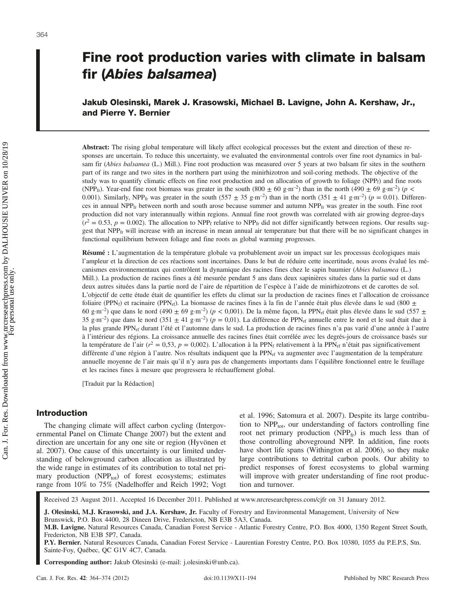# Fine root production varies with climate in balsam fir (Abies balsamea)

Jakub Olesinski, Marek J. Krasowski, Michael B. Lavigne, John A. Kershaw, Jr., and Pierre Y. Bernier

Abstract: The rising global temperature will likely affect ecological processes but the extent and direction of these responses are uncertain. To reduce this uncertainty, we evaluated the environmental controls over fine root dynamics in balsam fir (Abies balsamea (L.) Mill.). Fine root production was measured over 5 years at two balsam fir sites in the southern part of its range and two sites in the northern part using the minirhizotron and soil-coring methods. The objective of the study was to quantify climatic effects on fine root production and on allocation of growth to foliage (NPP $_f$ ) and fine roots (NPP<sub>fr</sub>). Year-end fine root biomass was greater in the south (800  $\pm$  60 g·m<sup>-2</sup>) than in the north (490  $\pm$  69 g·m<sup>-2</sup>) (p < 0.001). Similarly, NPP<sub>fr</sub> was greater in the south  $(557 \pm 35 \text{ g} \cdot \text{m}^{-2})$  than in the north  $(351 \pm 41 \text{ g} \cdot \text{m}^{-2})$  ( $p = 0.01$ ). Differences in annual NPP $_{fr}$  between north and south arose because summer and autumn NPP $_{fr}$  was greater in the south. Fine root production did not vary interannually within regions. Annual fine root growth was correlated with air growing degree-days  $(r^2 = 0.53, p = 0.002)$ . The allocation to NPP<sub>f</sub> relative to NPP<sub>fr</sub> did not differ significantly between regions. Our results suggest that NPPfr will increase with an increase in mean annual air temperature but that there will be no significant changes in functional equilibrium between foliage and fine roots as global warming progresses.

Résumé : L'augmentation de la température globale va probablement avoir un impact sur les processus écologiques mais l'ampleur et la direction de ces réactions sont incertaines. Dans le but de réduire cette incertitude, nous avons évalué les mécanismes environnementaux qui contrôlent la dynamique des racines fines chez le sapin baumier (Abies balsamea (L.) Mill.). La production de racines fines a été mesurée pendant 5 ans dans deux sapinières situées dans la partie sud et dans deux autres situées dans la partie nord de l'aire de répartition de l'espèce à l'aide de minirhizotrons et de carottes de sol. L'objectif de cette étude était de quantifier les effets du climat sur la production de racines fines et l'allocation de croissance foliaire (PPN<sub>f</sub>) et racinaire (PPN<sub>rf</sub>). La biomasse de racines fines à la fin de l'année était plus élevée dans le sud (800 ± 60 g·m<sup>-2</sup>) que dans le nord (490 ± 69 g·m<sup>-2</sup>) ( $p < 0.001$ ). De la même façon, la PPN<sub>rf</sub> était plus élevée dans le sud (557 ± 35 g·m<sup>-2</sup>) que dans le nord (351  $\pm$  41 g·m<sup>-2</sup>) (p = 0,01). La différence de PPN<sub>rf</sub> annuelle entre le nord et le sud était due à la plus grande PPN<sub>rf</sub> durant l'été et l'automne dans le sud. La production de racines fines n'a pas varié d'une année à l'autre à l'intérieur des régions. La croissance annuelle des racines fines était corrélée avec les degrés-jours de croissance basés sur la température de l'air ( $r^2 = 0.53$ ,  $p = 0.002$ ). L'allocation à la PPN<sub>f</sub> relativement à la PPN<sub>rf</sub> n'était pas significativement différente d'une région à l'autre. Nos résultats indiquent que la PPN<sub>rf</sub> va augmenter avec l'augmentation de la température annuelle moyenne de l'air mais qu'il n'y aura pas de changements importants dans l'équilibre fonctionnel entre le feuillage et les racines fines à mesure que progressera le réchauffement global.

[Traduit par la Rédaction]

## Introduction

The changing climate will affect carbon cycling (Intergovernmental Panel on Climate Change 2007) but the extent and direction are uncertain for any one site or region (Hyvönen et al. 2007). One cause of this uncertainty is our limited understanding of belowground carbon allocation as illustrated by the wide range in estimates of its contribution to total net primary production  $(NPP_{tot})$  of forest ecosystems; estimates range from 10% to 75% (Nadelhoffer and Reich 1992; Vogt et al. 1996; Satomura et al. 2007). Despite its large contribution to  $NPP_{\text{tot}}$ , our understanding of factors controlling fine root net primary production (NPP $_{fr}$ ) is much less than of those controlling aboveground NPP. In addition, fine roots have short life spans (Withington et al. 2006), so they make large contributions to detrital carbon pools. Our ability to predict responses of forest ecosystems to global warming will improve with greater understanding of fine root production and turnover.

Received 23 August 2011. Accepted 16 December 2011. Published at www.nrcresearchpress.com/cjfr on 31 January 2012.

J. Olesinski, M.J. Krasowski, and J.A. Kershaw, Jr. Faculty of Forestry and Environmental Management, University of New Brunswick, P.O. Box 4400, 28 Dineen Drive, Fredericton, NB E3B 5A3, Canada.

M.B. Lavigne. Natural Resources Canada, Canadian Forest Service - Atlantic Forestry Centre, P.O. Box 4000, 1350 Regent Street South, Fredericton, NB E3B 5P7, Canada.

P.Y. Bernier. Natural Resources Canada, Canadian Forest Service - Laurentian Forestry Centre, P.O. Box 10380, 1055 du P.E.P.S, Stn. Sainte-Foy, Québec, QC G1V 4C7, Canada.

Corresponding author: Jakub Olesinski (e-mail: j.olesinski@unb.ca).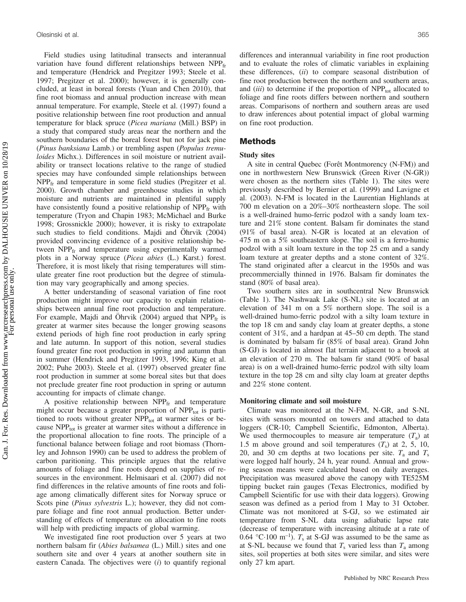Field studies using latitudinal transects and interannual variation have found different relationships between  $NPP_{fr}$ and temperature (Hendrick and Pregitzer 1993; Steele et al. 1997; Pregitzer et al. 2000); however, it is generally concluded, at least in boreal forests (Yuan and Chen 2010), that fine root biomass and annual production increase with mean annual temperature. For example, Steele et al. (1997) found a positive relationship between fine root production and annual temperature for black spruce (Picea mariana (Mill.) BSP) in a study that compared study areas near the northern and the southern boundaries of the boreal forest but not for jack pine (Pinus banksiana Lamb.) or trembling aspen (Populus tremuloides Michx.). Differences in soil moisture or nutrient availability or transect locations relative to the range of studied species may have confounded simple relationships between  $NPP<sub>fr</sub>$  and temperature in some field studies (Pregitzer et al. 2000). Growth chamber and greenhouse studies in which moisture and nutrients are maintained in plentiful supply have consistently found a positive relationship of  $NPP<sub>fr</sub>$  with temperature (Tryon and Chapin 1983; McMichael and Burke 1998; Grossnickle 2000); however, it is risky to extrapolate such studies to field conditions. Majdi and Öhrvik (2004) provided convincing evidence of a positive relationship between NPP<sub>fr</sub> and temperature using experimentally warmed plots in a Norway spruce (Picea abies (L.) Karst.) forest. Therefore, it is most likely that rising temperatures will stimulate greater fine root production but the degree of stimulation may vary geographically and among species.

A better understanding of seasonal variation of fine root production might improve our capacity to explain relationships between annual fine root production and temperature. For example, Majdi and Öhrvik (2004) argued that  $NPP<sub>fr</sub>$  is greater at warmer sites because the longer growing seasons extend periods of high fine root production in early spring and late autumn. In support of this notion, several studies found greater fine root production in spring and autumn than in summer (Hendrick and Pregitzer 1993, 1996; King et al. 2002; Puhe 2003). Steele et al. (1997) observed greater fine root production in summer at some boreal sites but that does not preclude greater fine root production in spring or autumn accounting for impacts of climate change.

A positive relationship between  $NPP_{fr}$  and temperature might occur because a greater proportion of  $NPP_{tot}$  is partitioned to roots without greater  $NPP_{tot}$  at warmer sites or because  $NPP_{tot}$  is greater at warmer sites without a difference in the proportional allocation to fine roots. The principle of a functional balance between foliage and root biomass (Thornley and Johnson 1990) can be used to address the problem of carbon paritioning. This principle argues that the relative amounts of foliage and fine roots depend on supplies of resources in the environment. Helmisaari et al. (2007) did not find differences in the relative amounts of fine roots and foliage among climatically different sites for Norway spruce or Scots pine *(Pinus sylvestris L.)*; however, they did not compare foliage and fine root annual production. Better understanding of effects of temperature on allocation to fine roots will help with predicting impacts of global warming.

We investigated fine root production over 5 years at two northern balsam fir (Abies balsamea (L.) Mill.) sites and one southern site and over 4 years at another southern site in eastern Canada. The objectives were  $(i)$  to quantify regional differences and interannual variability in fine root production and to evaluate the roles of climatic variables in explaining these differences, (ii) to compare seasonal distribution of fine root production between the northern and southern areas, and (iii) to determine if the proportion of  $NPP_{tot}$  allocated to foliage and fine roots differs between northern and southern areas. Comparisons of northern and southern areas are used to draw inferences about potential impact of global warming on fine root production.

## Methods

#### Study sites

A site in central Quebec (Forêt Montmorency (N-FM)) and one in northwestern New Brunswick (Green River (N-GR)) were chosen as the northern sites (Table 1). The sites were previously described by Bernier et al. (1999) and Lavigne et al. (2003). N-FM is located in the Laurentian Highlands at 700 m elevation on a 20%–30% northeastern slope. The soil is a well-drained humo-ferric podzol with a sandy loam texture and 21% stone content. Balsam fir dominates the stand (91% of basal area). N-GR is located at an elevation of 475 m on a 5% southeastern slope. The soil is a ferro-humic podzol with a silt loam texture in the top 25 cm and a sandy loam texture at greater depths and a stone content of 32%. The stand originated after a clearcut in the 1950s and was precommercially thinned in 1976. Balsam fir dominates the stand (80% of basal area).

Two southern sites are in southcentral New Brunswick (Table 1). The Nashwaak Lake (S-NL) site is located at an elevation of 341 m on a 5% northern slope. The soil is a well-drained humo-ferric podzol with a silty loam texture in the top 18 cm and sandy clay loam at greater depths, a stone content of 31%, and a hardpan at 45–50 cm depth. The stand is dominated by balsam fir (85% of basal area). Grand John (S-GJ) is located in almost flat terrain adjacent to a brook at an elevation of 270 m. The balsam fir stand (90% of basal area) is on a well-drained humo-ferric podzol with silty loam texture in the top 28 cm and silty clay loam at greater depths and 22% stone content.

#### Monitoring climate and soil moisture

Climate was monitored at the N-FM, N-GR, and S-NL sites with sensors mounted on towers and attached to data loggers (CR-10; Campbell Scientific, Edmonton, Alberta). We used thermocouples to measure air temperature  $(T_a)$  at 1.5 m above ground and soil temperatures  $(T<sub>s</sub>)$  at 2, 5, 10, 20, and 30 cm depths at two locations per site.  $T_a$  and  $T_s$ were logged half hourly, 24 h, year round. Annual and growing season means were calculated based on daily averages. Precipitation was measured above the canopy with TE525M tipping bucket rain gauges (Texas Electronics, modified by Campbell Scientific for use with their data loggers). Growing season was defined as a period from 1 May to 31 October. Climate was not monitored at S-GJ, so we estimated air temperature from S-NL data using adiabatic lapse rate (decrease of temperature with increasing altitude at a rate of 0.64 °C·100 m<sup>-1</sup>).  $T_s$  at S-GJ was assumed to be the same as at S-NL because we found that  $T_s$  varied less than  $T_a$  among sites, soil properties at both sites were similar, and sites were only 27 km apart.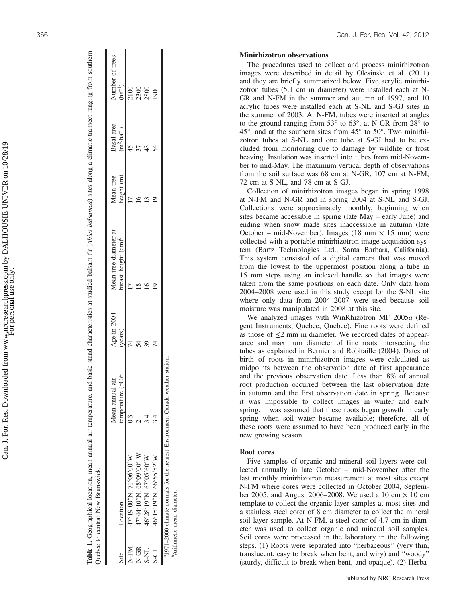| Number of trees<br>$(ha^{-1})$                            |
|-----------------------------------------------------------|
| Basal area<br>$(m^2 \cdot ha^{-1})$                       |
| height (m)<br>Aean tree                                   |
| Mean tree diameter at<br>breast height $\text{cm}^{\rho}$ |
| Age in 2004<br>'years)                                    |
| temperature $(^{\circ}C)^{a}$<br>Mean annual air          |
| Location                                                  |
| Site                                                      |

|      | Quebec to central New Brunswick.                                               |                         |             |                                                        |            |                                     |                                |
|------|--------------------------------------------------------------------------------|-------------------------|-------------|--------------------------------------------------------|------------|-------------------------------------|--------------------------------|
|      |                                                                                | ∙ä<br>Mean annual       | Age in 2004 | Mean tree diameter at                                  | Mean tree  |                                     | Number of trees                |
| Site | Location                                                                       | $\int^a$<br>temperature | (years)     | breast height $\text{cm}$ <sup><math>\ell</math></sup> | height (m) | Basal area<br>$(m^2 \cdot ha^{-1})$ | $(\mathrm{h} \mathrm{a}^{-1})$ |
| N-FM | 47°19′00″N, 71°06′00″W                                                         |                         |             | Ċ                                                      | Ē          | 45                                  |                                |
| N-GR | 47°44′10″N, 68°09′00″W                                                         |                         | 54          |                                                        |            |                                     | 2100<br>2300<br>2800           |
| S-NL | 46°28'19"N, 67°05'60"W                                                         |                         |             |                                                        |            |                                     |                                |
| S-GI | 46°15'19"N, 66°55'52"W                                                         |                         |             |                                                        |            |                                     | 1900                           |
|      | "1971-2000 climate normals for the nearest Environment Canada weather station. |                         |             |                                                        |            |                                     |                                |
|      | <sup>b</sup> Arithmetic mean diameter.                                         |                         |             |                                                        |            |                                     |                                |

366 Can. J. For. Res. Vol. 42, 2012

## Minirhizotron observations

The procedures used to collect and process minirhizotron images were described in detail by Olesinski et al. (2011) and they are briefly summarized below. Five acrylic minirhizotron tubes (5.1 cm in diameter) were installed each at N-GR and N-FM in the summer and autumn of 1997, and 10 acrylic tubes were installed each at S-NL and S-GJ sites in the summer of 2003. At N-FM, tubes were inserted at angles to the ground ranging from 53° to 63°, at N-GR from 28° to 45°, and at the southern sites from 45° to 50°. Two minirhizotron tubes at S-NL and one tube at S-GJ had to be excluded from monitoring due to damage by wildlife or frost heaving. Insulation was inserted into tubes from mid-November to mid-May. The maximum vertical depth of observations from the soil surface was 68 cm at N-GR, 107 cm at N-FM, 72 cm at S-NL, and 78 cm at S-GJ.

Collection of minirhizotron images began in spring 1998 at N-FM and N-GR and in spring 2004 at S-NL and S-GJ. Collections were approximately monthly, beginning when sites became accessible in spring (late May – early June) and ending when snow made sites inaccessible in autumn (late October – mid-November). Images (18 mm  $\times$  15 mm) were collected with a portable minirhizotron image acquisition system (Bartz Technologies Ltd., Santa Barbara, California). This system consisted of a digital camera that was moved from the lowest to the uppermost position along a tube in 15 mm steps using an indexed handle so that images were taken from the same positions on each date. Only data from 2004 –2008 were used in this study except for the S-NL site where only data from 2004 –2007 were used because soil moisture was manipulated in 2008 at this site.

We analyzed images with WinRhizotron MF 2005a (Regent Instruments, Quebec, Quebec). Fine roots were defined as those of  $\leq$ 2 mm in diameter. We recorded dates of appearance and maximum diameter of fine roots intersecting the tubes as explained in Bernier and Robitaille (2004). Dates of birth of roots in minirhizotron images were calculated as midpoints between the observation date of first appearance and the previous observation date. Less than 8% of annual root production occurred between the last observation date in autumn and the first observation date in spring. Because it was impossible to collect images in winter and early spring, it was assumed that these roots began growth in early spring when soil water became available; therefore, all of these roots were assumed to have been produced early in the new growing season.

## Root cores

Five samples of organic and mineral soil layers were collected annually in late October – mid-November after the last monthly minirhizotron measurement at most sites except N-FM where cores were collected in October 2004, September 2005, and August 2006–2008. We used a 10 cm  $\times$  10 cm template to collect the organic layer samples at most sites and a stainless steel corer of 8 cm diameter to collect the mineral soil layer sample. At N-FM, a steel corer of 4.7 cm in diameter was used to collect organic and mineral soil samples. Soil cores were processed in the laboratory in the following steps. (1) Roots were separated into "herbaceous " (very thin, translucent, easy to break when bent, and wiry) and "woody " (sturdy, difficult to break when bent, and opaque). (2) Herba-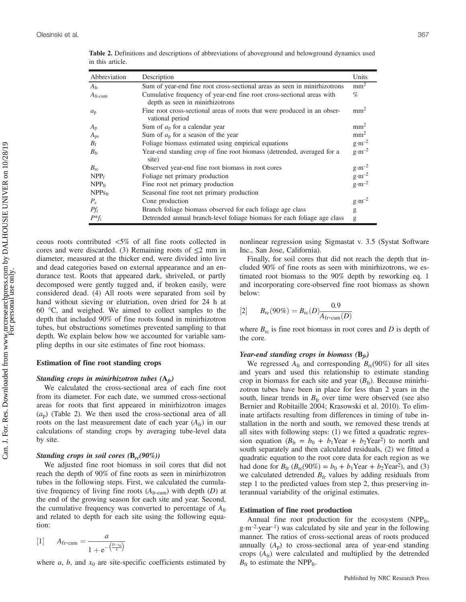| Abbreviation          | Description                                                                                             | Units            |
|-----------------------|---------------------------------------------------------------------------------------------------------|------------------|
| $A_{\rm fr}$          | Sum of year-end fine root cross-sectional areas as seen in minirhizotrons                               | $mm^2$           |
| $A$ <sub>fr-cum</sub> | Cumulative frequency of year-end fine root cross-sectional areas with<br>depth as seen in minimizotrons | $\%$             |
| $a_{\rm p}$           | Fine root cross-sectional areas of roots that were produced in an obser-<br>vational period             | mm <sup>2</sup>  |
| $A_{p}$               | Sum of $a_p$ for a calendar year                                                                        | mm <sup>2</sup>  |
| $A_{\rm ps}$          | Sum of $a_p$ for a season of the year                                                                   | mm <sup>2</sup>  |
| $B_{\rm f}$           | Foliage biomass estimated using empirical equations                                                     | $g \cdot m^{-2}$ |
| $B_{\rm fr}$          | Year-end standing crop of fine root biomass (detrended, averaged for a<br>site)                         | $g \cdot m^{-2}$ |
| $B_{\rm rc}$          | Observed year-end fine root biomass in root cores                                                       | $g \cdot m^{-2}$ |
| NPP <sub>f</sub>      | Foliage net primary production                                                                          | $g \cdot m^{-2}$ |
| $NPP$ fr              | Fine root net primary production                                                                        | $g \cdot m^{-2}$ |
| $NPPs$ fr             | Seasonal fine root net primary production                                                               |                  |
| $P_c$                 | Cone production                                                                                         | $g \cdot m^{-2}$ |
| $Pf_i$                | Branch foliage biomass observed for each foliage age class                                              | g                |
| $P^*f_i$              | Detrended annual branch-level foliage biomass for each foliage age class                                | g                |

Table 2. Definitions and descriptions of abbreviations of aboveground and belowground dynamics used in this article.

ceous roots contributed <5% of all fine roots collected in cores and were discarded. (3) Remaining roots of  $\leq 2$  mm in diameter, measured at the thicker end, were divided into live and dead categories based on external appearance and an endurance test. Roots that appeared dark, shriveled, or partly decomposed were gently tugged and, if broken easily, were considered dead. (4) All roots were separated from soil by hand without sieving or elutriation, oven dried for 24 h at 60 °C, and weighed. We aimed to collect samples to the depth that included 90% of fine roots found in minirhizotron tubes, but obstructions sometimes prevented sampling to that depth. We explain below how we accounted for variable sampling depths in our site estimates of fine root biomass.

## Estimation of fine root standing crops

## Standing crops in minirhizotron tubes  $(A_f)$

We calculated the cross-sectional area of each fine root from its diameter. For each date, we summed cross-sectional areas for roots that first appeared in minirhizotron images  $(a_p)$  (Table 2). We then used the cross-sectional area of all roots on the last measurement date of each year  $(A_{\text{fr}})$  in our calculations of standing crops by averaging tube-level data by site.

## Standing crops in soil cores  $(B_{rc}(90\%))$

We adjusted fine root biomass in soil cores that did not reach the depth of 90% of fine roots as seen in minirhizotron tubes in the following steps. First, we calculated the cumulative frequency of living fine roots  $(A<sub>fr-cum</sub>)$  with depth  $(D)$  at the end of the growing season for each site and year. Second, the cumulative frequency was converted to percentage of  $A_{\rm fr}$ and related to depth for each site using the following equation:

[1] 
$$
A_{\text{fr-cum}} = \frac{a}{1 + e^{-\left(\frac{D - x_0}{b}\right)}}
$$

where a, b, and  $x_0$  are site-specific coefficients estimated by

nonlinear regression using Sigmastat v. 3.5 (Systat Software Inc., San Jose, California).

Finally, for soil cores that did not reach the depth that included 90% of fine roots as seen with minirhizotrons, we estimated root biomass to the 90% depth by reworking eq. 1 and incorporating core-observed fine root biomass as shown below:

[2] 
$$
B_{\text{rc}}(90\%) = B_{\text{rc}}(D) \frac{0.9}{A_{\text{fr-cum}}(D)}
$$

where  $B_{\rm rc}$  is fine root biomass in root cores and D is depth of the core.

#### Year-end standing crops in biomass  $(B_f)$

We regressed  $A_{\text{fr}}$  and corresponding  $B_{\text{rc}}(90\%)$  for all sites and years and used this relationship to estimate standing crop in biomass for each site and year  $(B<sub>fr</sub>)$ . Because minirhizotron tubes have been in place for less than 2 years in the south, linear trends in  $B<sub>fr</sub>$  over time were observed (see also Bernier and Robitaille 2004; Krasowski et al. 2010). To eliminate artifacts resulting from differences in timing of tube installation in the north and south, we removed these trends at all sites with following steps: (1) we fitted a quadratic regression equation ( $B_{\text{fr}} = b_0 + b_1$ Year +  $b_2$ Year<sup>2</sup>) to north and south separately and then calculated residuals, (2) we fitted a quadratic equation to the root core data for each region as we had done for  $B_{\rm fr}$  ( $B_{\rm rc}(90\%) = b_0 + b_1$ Year +  $b_2$ Year<sup>2</sup>), and (3) we calculated detrended  $B<sub>fr</sub>$  values by adding residuals from step 1 to the predicted values from step 2, thus preserving interannual variability of the original estimates.

## Estimation of fine root production

Annual fine root production for the ecosystem  $(NPP<sub>fr</sub>$ , g·m–2·year–1) was calculated by site and year in the following manner. The ratios of cross-sectional areas of roots produced annually  $(A_p)$  to cross-sectional area of year-end standing crops  $(A_{\text{fr}})$  were calculated and multiplied by the detrended  $B_{\text{fr}}$  to estimate the NPP<sub>fr</sub>.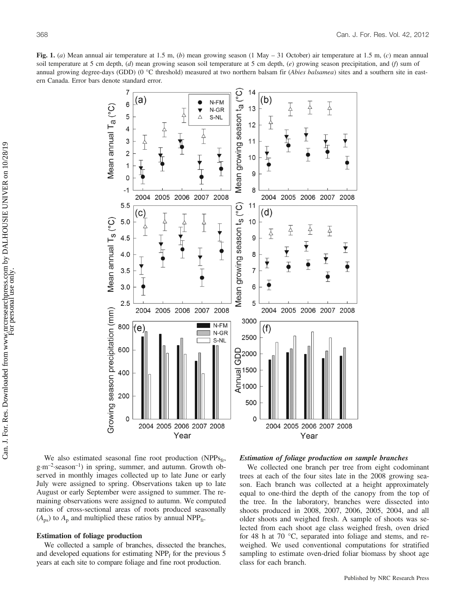Fig. 1. (a) Mean annual air temperature at 1.5 m, (b) mean growing season (1 May – 31 October) air temperature at 1.5 m, (c) mean annual soil temperature at 5 cm depth,  $(d)$  mean growing season soil temperature at 5 cm depth,  $(e)$  growing season precipitation, and  $(f)$  sum of annual growing degree-days (GDD) (0 °C threshold) measured at two northern balsam fir (Abies balsamea) sites and a southern site in eastern Canada. Error bars denote standard error.



We also estimated seasonal fine root production (NPPs<sub>fr</sub>, g·m–2·season–1) in spring, summer, and autumn. Growth observed in monthly images collected up to late June or early July were assigned to spring. Observations taken up to late August or early September were assigned to summer. The remaining observations were assigned to autumn. We computed ratios of cross-sectional areas of roots produced seasonally  $(A_{ps})$  to  $A_p$  and multiplied these ratios by annual NPP<sub>fr</sub>.

#### Estimation of foliage production

We collected a sample of branches, dissected the branches, and developed equations for estimating  $NPP<sub>f</sub>$  for the previous 5 years at each site to compare foliage and fine root production.

#### Estimation of foliage production on sample branches

We collected one branch per tree from eight codominant trees at each of the four sites late in the 2008 growing season. Each branch was collected at a height approximately equal to one-third the depth of the canopy from the top of the tree. In the laboratory, branches were dissected into shoots produced in 2008, 2007, 2006, 2005, 2004, and all older shoots and weighed fresh. A sample of shoots was selected from each shoot age class weighed fresh, oven dried for 48 h at 70 °C, separated into foliage and stems, and reweighed. We used conventional computations for stratified sampling to estimate oven-dried foliar biomass by shoot age class for each branch.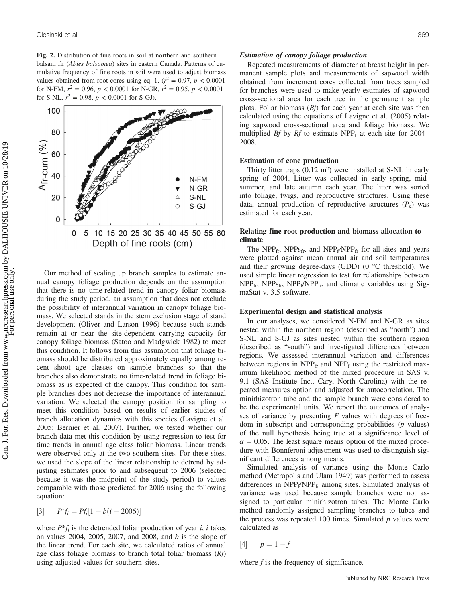Fig. 2. Distribution of fine roots in soil at northern and southern balsam fir (Abies balsamea) sites in eastern Canada. Patterns of cumulative frequency of fine roots in soil were used to adjust biomass values obtained from root cores using eq. 1. ( $r^2 = 0.97$ ,  $p < 0.0001$ ) for N-FM,  $r^2 = 0.96$ ,  $p < 0.0001$  for N-GR,  $r^2 = 0.95$ ,  $p < 0.0001$ for S-NL,  $r^2 = 0.98$ ,  $p < 0.0001$  for S-GJ).



Our method of scaling up branch samples to estimate annual canopy foliage production depends on the assumption that there is no time-related trend in canopy foliar biomass during the study period, an assumption that does not exclude the possibility of interannual variation in canopy foliage biomass. We selected stands in the stem exclusion stage of stand development (Oliver and Larson 1996) because such stands remain at or near the site-dependent carrying capacity for canopy foliage biomass (Satoo and Madgwick 1982) to meet this condition. It follows from this assumption that foliage biomass should be distributed approximately equally among recent shoot age classes on sample branches so that the branches also demonstrate no time-related trend in foliage biomass as is expected of the canopy. This condition for sample branches does not decrease the importance of interannual variation. We selected the canopy position for sampling to meet this condition based on results of earlier studies of branch allocation dynamics with this species (Lavigne et al. 2005; Bernier et al. 2007). Further, we tested whether our branch data met this condition by using regression to test for time trends in annual age class foliar biomass. Linear trends were observed only at the two southern sites. For these sites, we used the slope of the linear relationship to detrend by adjusting estimates prior to and subsequent to 2006 (selected because it was the midpoint of the study period) to values comparable with those predicted for 2006 using the following equation:

$$
[3] \qquad P^* f_i = P f_i [1 + b(i - 2006)]
$$

where  $P^*f_i$  is the detrended foliar production of year *i*, *i* takes on values 2004, 2005, 2007, and 2008, and  $b$  is the slope of the linear trend. For each site, we calculated ratios of annual age class foliage biomass to branch total foliar biomass  $(Rf)$ using adjusted values for southern sites.

### Estimation of canopy foliage production

Repeated measurements of diameter at breast height in permanent sample plots and measurements of sapwood width obtained from increment cores collected from trees sampled for branches were used to make yearly estimates of sapwood cross-sectional area for each tree in the permanent sample plots. Foliar biomass  $(Bf)$  for each year at each site was then calculated using the equations of Lavigne et al. (2005) relating sapwood cross-sectional area and foliage biomass. We multiplied *Bf* by *Rf* to estimate  $NPP_f$  at each site for 2004– 2008.

#### Estimation of cone production

Thirty litter traps  $(0.12 \text{ m}^2)$  were installed at S-NL in early spring of 2004. Litter was collected in early spring, midsummer, and late autumn each year. The litter was sorted into foliage, twigs, and reproductive structures. Using these data, annual production of reproductive structures  $(P_c)$  was estimated for each year.

## Relating fine root production and biomass allocation to climate

The NPP<sub>fr</sub>, NPP<sub>sfr</sub>, and NPP<sub>f</sub>/NPP<sub>fr</sub> for all sites and years were plotted against mean annual air and soil temperatures and their growing degree-days (GDD) ( $0^{\circ}$ C threshold). We used simple linear regression to test for relationships between  $NPP_{\text{fr}}$ ,  $NPP_{\text{fr}}$ ,  $NPP_{\text{f}}/NPP_{\text{fr}}$ , and climatic variables using SigmaStat v. 3.5 software.

#### Experimental design and statistical analysis

In our analyses, we considered N-FM and N-GR as sites nested within the northern region (described as "north") and S-NL and S-GJ as sites nested within the southern region (described as "south") and investigated differences between regions. We assessed interannual variation and differences between regions in  $NPP_{fr}$  and  $NPP_f$  using the restricted maximum likelihood method of the mixed procedure in SAS v. 9.1 (SAS Institute Inc., Cary, North Carolina) with the repeated measures option and adjusted for autocorrelation. The minirhizotron tube and the sample branch were considered to be the experimental units. We report the outcomes of analyses of variance by presenting  $F$  values with degrees of freedom in subscript and corresponding probabilities  $(p \text{ values})$ of the null hypothesis being true at a significance level of  $\alpha = 0.05$ . The least square means option of the mixed procedure with Bonnferoni adjustment was used to distinguish significant differences among means.

Simulated analysis of variance using the Monte Carlo method (Metropolis and Ulam 1949) was performed to assess differences in NPP<sub>f</sub>/NPP<sub>fr</sub> among sites. Simulated analysis of variance was used because sample branches were not assigned to particular minirhizotron tubes. The Monte Carlo method randomly assigned sampling branches to tubes and the process was repeated 100 times. Simulated  $p$  values were calculated as

$$
[4] \qquad p=1-f
$$

where  $f$  is the frequency of significance.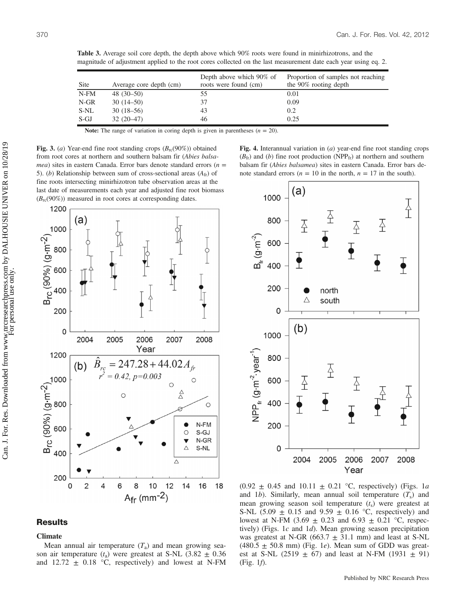| Site       | Average core depth (cm) | Depth above which 90% of<br>roots were found (cm) | Proportion of samples not reaching<br>the 90% rooting depth |
|------------|-------------------------|---------------------------------------------------|-------------------------------------------------------------|
| $N$ - $FM$ | $48(30-50)$             | 55                                                | 0.01                                                        |
| $N-GR$     | $30(14-50)$             | 37                                                | 0.09                                                        |
| S-NL       | $30(18-56)$             | 43                                                | 0.2                                                         |
| S-GJ       | $32(20-47)$             | 46                                                | 0.25                                                        |

Table 3. Average soil core depth, the depth above which 90% roots were found in minirhizotrons, and the magnitude of adjustment applied to the root cores collected on the last measurement date each year using eq. 2.

Note: The range of variation in coring depth is given in parentheses  $(n = 20)$ .

Fig. 3. (a) Year-end fine root standing crops  $(B_{rc}(90\%)$  obtained from root cores at northern and southern balsam fir (Abies balsa*mea*) sites in eastern Canada. Error bars denote standard errors ( $n =$ 5). (b) Relationship between sum of cross-sectional areas  $(A<sub>fr</sub>)$  of fine roots intersecting minirhizotron tube observation areas at the last date of measurements each year and adjusted fine root biomass  $(B_{\rm rc}(90\%)$  measured in root cores at corresponding dates.



## Fig. 4. Interannual variation in  $(a)$  year-end fine root standing crops  $(B<sub>fr</sub>)$  and (b) fine root production (NPP<sub>fr</sub>) at northern and southern balsam fir (Abies balsamea) sites in eastern Canada. Error bars denote standard errors ( $n = 10$  in the north,  $n = 17$  in the south).



## **Results**

## **Climate**

Mean annual air temperature  $(T_a)$  and mean growing season air temperature ( $t_a$ ) were greatest at S-NL (3.82  $\pm$  0.36 and 12.72  $\pm$  0.18 °C, respectively) and lowest at N-FM

 $(0.92 \pm 0.45 \text{ and } 10.11 \pm 0.21 \text{ °C}$ , respectively) (Figs. 1a and 1b). Similarly, mean annual soil temperature  $(T<sub>s</sub>)$  and mean growing season soil temperature  $(t<sub>s</sub>)$  were greatest at S-NL (5.09  $\pm$  0.15 and 9.59  $\pm$  0.16 °C, respectively) and lowest at N-FM (3.69  $\pm$  0.23 and 6.93  $\pm$  0.21 °C, respectively) (Figs. 1c and 1d). Mean growing season precipitation was greatest at N-GR (663.7  $\pm$  31.1 mm) and least at S-NL  $(480.5 \pm 50.8 \text{ mm})$  (Fig. 1*e*). Mean sum of GDD was greatest at S-NL (2519  $\pm$  67) and least at N-FM (1931  $\pm$  91) (Fig. 1f).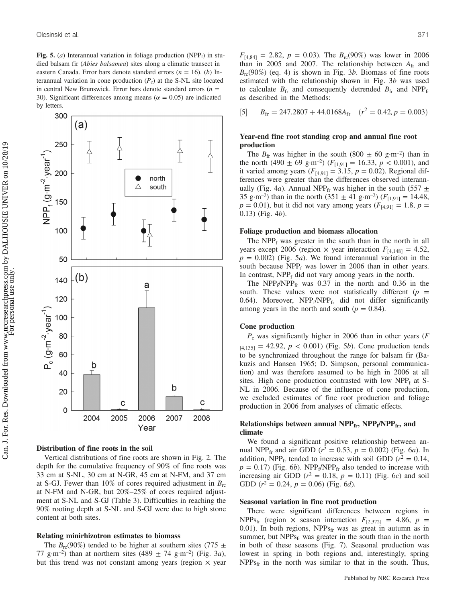Fig. 5. (*a*) Interannual variation in foliage production (NPP<sub>f</sub>) in studied balsam fir (Abies balsamea) sites along a climatic transect in eastern Canada. Error bars denote standard errors  $(n = 16)$ . (b) Interannual variation in cone production  $(P_c)$  at the S-NL site located in central New Brunswick. Error bars denote standard errors ( $n =$ 30). Significant differences among means ( $\alpha = 0.05$ ) are indicated by letters.



Distribution of fine roots in the soil

Vertical distributions of fine roots are shown in Fig. 2. The depth for the cumulative frequency of 90% of fine roots was 33 cm at S-NL, 30 cm at N-GR, 45 cm at N-FM, and 37 cm at S-GJ. Fewer than 10% of cores required adjustment in  $B_{\text{rc}}$ at N-FM and N-GR, but 20%–25% of cores required adjustment at S-NL and S-GJ (Table 3). Difficulties in reaching the 90% rooting depth at S-NL and S-GJ were due to high stone content at both sites.

#### Relating minirhizotron estimates to biomass

The  $B_{\rm rc}(90\%)$  tended to be higher at southern sites (775  $\pm$ ) 77 g·m<sup>-2</sup>) than at northern sites  $(489 \pm 74 \text{ g}\cdot\text{m}^{-2})$  (Fig. 3*a*), but this trend was not constant among years (region  $\times$  year  $F_{[4,84]} = 2.82, p = 0.03$ . The  $B_{rc}(90\%)$  was lower in 2006 than in 2005 and 2007. The relationship between  $A_{fr}$  and  $B_{\rm rc}(90\%)$  (eq. 4) is shown in Fig. 3b. Biomass of fine roots estimated with the relationship shown in Fig. 3b was used to calculate  $B_{\text{fr}}$  and consequently detrended  $B_{\text{fr}}$  and NPP<sub>fr</sub> as described in the Methods:

[5] 
$$
B_{\text{fr}} = 247.2807 + 44.0168A_{\text{fr}} \quad (r^2 = 0.42, p = 0.003)
$$

## Year-end fine root standing crop and annual fine root production

The  $B_{\text{fr}}$  was higher in the south (800  $\pm$  60 g·m<sup>-2</sup>) than in the north (490  $\pm$  69 g·m<sup>-2</sup>) ( $F_{[1,91]}$  = 16.33,  $p$  < 0.001), and it varied among years ( $F_{[4,91]} = 3.15$ ,  $p = 0.02$ ). Regional differences were greater than the differences observed interannually (Fig. 4a). Annual NPP<sub>fr</sub> was higher in the south (557  $\pm$ 35 g·m<sup>-2</sup>) than in the north (351  $\pm$  41 g·m<sup>-2</sup>) ( $F_{[1,91]}$  = 14.48,  $p = 0.01$ ), but it did not vary among years ( $F_{[4,91]} = 1.8$ ,  $p =$ 0.13) (Fig. 4b).

#### Foliage production and biomass allocation

The  $NPP_f$  was greater in the south than in the north in all years except 2006 (region  $\times$  year interaction  $F_{[4,148]} = 4.52$ ,  $p = 0.002$ ) (Fig. 5*a*). We found interannual variation in the south because  $NPP_f$  was lower in 2006 than in other years. In contrast,  $NPP_f$  did not vary among years in the north.

The  $NPP_f/NPP_f$  was 0.37 in the north and 0.36 in the south. These values were not statistically different  $(p =$ 0.64). Moreover,  $NPP_f/NPP_{fr}$  did not differ significantly among years in the north and south ( $p = 0.84$ ).

## Cone production

 $P_c$  was significantly higher in 2006 than in other years ( $F$  $_{[4,135]} = 42.92, p < 0.001$ ) (Fig. 5*b*). Cone production tends to be synchronized throughout the range for balsam fir (Bakuzis and Hansen 1965; D. Simpson, personal communication) and was therefore assumed to be high in 2006 at all sites. High cone production contrasted with low  $NPP_f$  at S-NL in 2006. Because of the influence of cone production, we excluded estimates of fine root production and foliage production in 2006 from analyses of climatic effects.

## Relationships between annual  $NPP_{fr}$ ,  $NPP_f/NPP_{fr}$ , and climate

We found a significant positive relationship between annual NPP<sub>fr</sub> and air GDD ( $r^2 = 0.53$ ,  $p = 0.002$ ) (Fig. 6*a*). In addition, NPP<sub>fr</sub> tended to increase with soil GDD ( $r^2 = 0.14$ ,  $p = 0.17$ ) (Fig. 6b). NPP<sub>f</sub>/NPP<sub>fr</sub> also tended to increase with increasing air GDD ( $r^2 = 0.18$ ,  $p = 0.11$ ) (Fig. 6c) and soil GDD ( $r^2 = 0.24$ ,  $p = 0.06$ ) (Fig. 6d).

#### Seasonal variation in fine root production

There were significant differences between regions in NPPs<sub>fr</sub> (region  $\times$  season interaction  $F_{[2,372]} = 4.86$ ,  $p =$ 0.01). In both regions,  $NPPs_{fr}$  was as great in autumn as in summer, but  $NPPs_{fr}$  was greater in the south than in the north in both of these seasons (Fig. 7). Seasonal production was lowest in spring in both regions and, interestingly, spring  $NPPs$ <sub>fr</sub> in the north was similar to that in the south. Thus,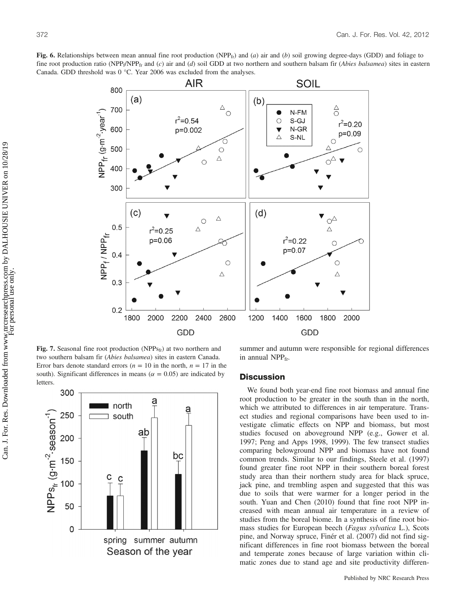Fig. 6. Relationships between mean annual fine root production (NPP<sub>fr</sub>) and (a) air and (b) soil growing degree-days (GDD) and foliage to fine root production ratio (NPP<sub>f</sub>/NPP<sub>fr</sub> and (c) air and (d) soil GDD at two northern and southern balsam fir (*Abies balsamea*) sites in eastern Canada. GDD threshold was 0 °C. Year 2006 was excluded from the analyses.



Fig. 7. Seasonal fine root production (NPPs<sub>fr</sub>) at two northern and two southern balsam fir (Abies balsamea) sites in eastern Canada. Error bars denote standard errors ( $n = 10$  in the north,  $n = 17$  in the south). Significant differences in means ( $\alpha = 0.05$ ) are indicated by letters.



summer and autumn were responsible for regional differences in annual  $NPP<sub>fr</sub>$ 

## **Discussion**

We found both year-end fine root biomass and annual fine root production to be greater in the south than in the north, which we attributed to differences in air temperature. Transect studies and regional comparisons have been used to investigate climatic effects on NPP and biomass, but most studies focused on aboveground NPP (e.g., Gower et al. 1997; Peng and Apps 1998, 1999). The few transect studies comparing belowground NPP and biomass have not found common trends. Similar to our findings, Steele et al. (1997) found greater fine root NPP in their southern boreal forest study area than their northern study area for black spruce, jack pine, and trembling aspen and suggested that this was due to soils that were warmer for a longer period in the south. Yuan and Chen (2010) found that fine root NPP increased with mean annual air temperature in a review of studies from the boreal biome. In a synthesis of fine root biomass studies for European beech (Fagus sylvatica L.), Scots pine, and Norway spruce, Finér et al. (2007) did not find significant differences in fine root biomass between the boreal and temperate zones because of large variation within climatic zones due to stand age and site productivity differen-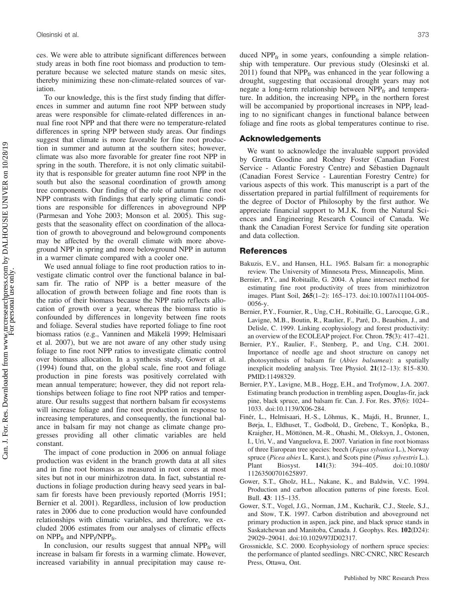ces. We were able to attribute significant differences between study areas in both fine root biomass and production to temperature because we selected mature stands on mesic sites, thereby minimizing these non-climate-related sources of variation.

To our knowledge, this is the first study finding that differences in summer and autumn fine root NPP between study areas were responsible for climate-related differences in annual fine root NPP and that there were no temperature-related differences in spring NPP between study areas. Our findings suggest that climate is more favorable for fine root production in summer and autumn at the southern sites; however, climate was also more favorable for greater fine root NPP in spring in the south. Therefore, it is not only climatic suitability that is responsible for greater autumn fine root NPP in the south but also the seasonal coordination of growth among tree components. Our finding of the role of autumn fine root NPP contrasts with findings that early spring climatic conditions are responsible for differences in aboveground NPP (Parmesan and Yohe 2003; Monson et al. 2005). This suggests that the seasonality effect on coordination of the allocation of growth to aboveground and belowground components may be affected by the overall climate with more aboveground NPP in spring and more belowground NPP in autumn in a warmer climate compared with a cooler one.

We used annual foliage to fine root production ratios to investigate climatic control over the functional balance in balsam fir. The ratio of NPP is a better measure of the allocation of growth between foliage and fine roots than is the ratio of their biomass because the NPP ratio reflects allocation of growth over a year, whereas the biomass ratio is confounded by differences in longevity between fine roots and foliage. Several studies have reported foliage to fine root biomass ratios (e.g., Vanninen and Mäkelä 1999; Helmisaari et al. 2007), but we are not aware of any other study using foliage to fine root NPP ratios to investigate climatic control over biomass allocation. In a synthesis study, Gower et al. (1994) found that, on the global scale, fine root and foliage production in pine forests was positively correlated with mean annual temperature; however, they did not report relationships between foliage to fine root NPP ratios and temperature. Our results suggest that northern balsam fir ecosystems will increase foliage and fine root production in response to increasing temperatures, and consequently, the functional balance in balsam fir may not change as climate change progresses providing all other climatic variables are held constant.

The impact of cone production in 2006 on annual foliage production was evident in the branch growth data at all sites and in fine root biomass as measured in root cores at most sites but not in our minirhizotron data. In fact, substantial reductions in foliage production during heavy seed years in balsam fir forests have been previously reported (Morris 1951; Bernier et al. 2001). Regardless, inclusion of low production rates in 2006 due to cone production would have confounded relationships with climatic variables, and therefore, we excluded 2006 estimates from our analyses of climatic effects on  $NPP_{fr}$  and  $NPP_f/NPP_{fr}$ .

In conclusion, our results suggest that annual  $NPP<sub>fr</sub>$  will increase in balsam fir forests in a warming climate. However, increased variability in annual precipitation may cause reduced  $NPP_{fr}$  in some years, confounding a simple relationship with temperature. Our previous study (Olesinski et al. 2011) found that  $NPP<sub>fr</sub>$  was enhanced in the year following a drought, suggesting that occasional drought years may not negate a long-term relationship between  $NPP<sub>fr</sub>$  and temperature. In addition, the increasing  $NPP<sub>fr</sub>$  in the northern forest will be accompanied by proportional increases in  $NPP_f$  leading to no significant changes in functional balance between foliage and fine roots as global temperatures continue to rise.

## Acknowledgements

We want to acknowledge the invaluable support provided by Gretta Goodine and Rodney Foster (Canadian Forest Service - Atlantic Forestry Centre) and Sébastien Dagnault (Canadian Forest Service - Laurentian Forestry Centre) for various aspects of this work. This manuscript is a part of the dissertation prepared in partial fulfillment of requirements for the degree of Doctor of Philosophy by the first author. We appreciate financial support to M.J.K. from the Natural Sciences and Engineering Research Council of Canada. We thank the Canadian Forest Service for funding site operation and data collection.

## References

- Bakuzis, E.V., and Hansen, H.L. 1965. Balsam fir: a monographic review. The University of Minnesota Press, Minneapolis, Minn.
- Bernier, P.Y., and Robitaille, G. 2004. A plane intersect method for estimating fine root productivity of trees from minirhizotron images. Plant Soil, 265(1–2): 165–173. doi:10.1007/s11104-005- 0056-y.
- Bernier, P.Y., Fournier, R., Ung, C.H., Robitaille, G., Larocque, G.R., Lavigne, M.B., Boutin, R., Raulier, F., Paré, D., Beaubien, J., and Delisle, C. 1999. Linking ecophysiology and forest productivity: an overview of the ECOLEAP project. For. Chron. 75(3): 417–421.
- Bernier, P.Y., Raulier, F., Stenberg, P., and Ung, C.H. 2001. Importance of needle age and shoot structure on canopy net photosynthesis of balsam fir (Abies balsamea): a spatially inexplicit modeling analysis. Tree Physiol. 21(12–13): 815–830. PMID:11498329.
- Bernier, P.Y., Lavigne, M.B., Hogg, E.H., and Trofymow, J.A. 2007. Estimating branch production in trembling aspen, Douglas-fir, jack pine, black spruce, and balsam fir. Can. J. For. Res. 37(6): 1024– 1033. doi:10.1139/X06-284.
- Finér, L., Helmisaari, H.-S., Lõhmus, K., Majdi, H., Brunner, I., Børja, I., Eldhuset, T., Godbold, D., Grebenc, T., Konôpka, B., Kraigher, H., Möttönen, M.-R., Ohashi, M., Oleksyn, J., Ostonen, I., Uri, V., and Vanguelova, E. 2007. Variation in fine root biomass of three European tree species: beech (Fagus sylvatica L.), Norway spruce (Picea abies L. Karst.), and Scots pine (Pinus sylvestris L.). Plant Biosyst. 141(3): 394–405. doi:10.1080/ 11263500701625897.
- Gower, S.T., Gholz, H.L., Nakane, K., and Baldwin, V.C. 1994. Production and carbon allocation patterns of pine forests. Ecol. Bull. 43: 115–135.
- Gower, S.T., Vogel, J.G., Norman, J.M., Kucharik, C.J., Steele, S.J., and Stow, T.K. 1997. Carbon distribution and aboveground net primary production in aspen, jack pine, and black spruce stands in Saskatchewan and Manitoba, Canada. J. Geophys. Res. 102(D24): 29029–29041. doi:10.1029/97JD02317.
- Grossnickle, S.C. 2000. Ecophysiology of northern spruce species: the performance of planted seedlings. NRC-CNRC, NRC Research Press, Ottawa, Ont.